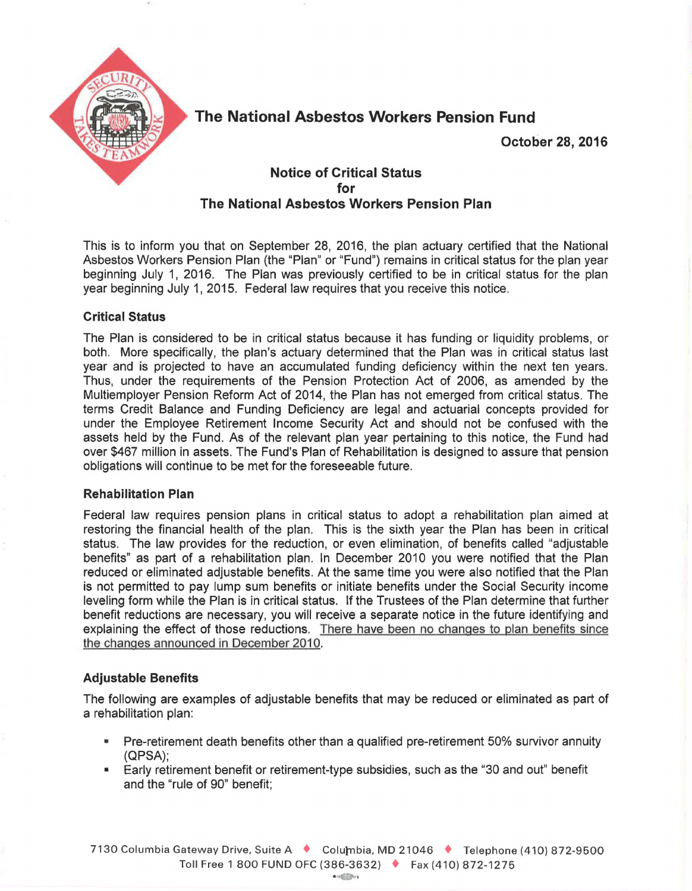

**The National Asbestos Workers Pension Fund** 

**October 28, 2016** 

# **Notice of Critical Status for The National Asbestos Workers Pension Plan**

This is to inform you that on September 28, 2016, the plan actuary certified that the National Asbestos Workers Pension Plan (the "Plan" or "Fund") remains in critical status for the plan year beginning July 1, 2016. The Plan was previously certified to be in critical status for the plan year beginning July 1, 2015. Federal law requires that you receive this notice.

## **Critical Status**

The Plan is considered to be in critical status because it has funding or liquidity problems, or both. More specifically, the plan's actuary determined that the Plan was in critical status last year and is projected to have an accumulated funding deficiency within the next ten years. Thus, under the requirements of the Pension Protection Act of 2006, as amended by the Multiemployer Pension Reform Act of 2014, the Plan has not emerged from critical status. The terms Credit Balance and Funding Deficiency are legal and actuarial concepts provided for under the Employee Retirement Income Security Act and should not be confused with the assets held by the Fund. As of the relevant plan year pertaining to this notice, the Fund had over \$467 million in assets. The Fund's Plan of Rehabilitation is designed to assure that pension obligations will continue to be met for the foreseeable future.

### **Rehabilitation Plan**

Federal law requires pension plans in critical status to adopt a rehabilitation plan aimed at restoring the financial health of the plan. This is the sixth year the Plan has been in critical status. The law provides for the reduction, or even elimination, of benefits called "adjustable benefits" as part of a rehabilitation plan. In December 2010 you were notified that the Plan reduced or eliminated adjustable benefits. At the same time you were also notified that the Plan is not permitted to pay lump sum benefits or initiate benefits under the Social Security income leveling form while the Plan is in critical status. If the Trustees of the Plan determine that further benefit reductions are necessary, you will receive a separate notice in the future identifying and explaining the effect of those reductions. There have been no changes to plan benefits since the changes announced in December 2010.

## **Adjustable Benefits**

The following are examples of adjustable benefits that may be reduced or eliminated as part of a rehabilitation plan:

- Pre-retirement death benefits other than a qualified pre-retirement 50% survivor annuity (QPSA);
- Early retirement benefit or retirement-type subsidies, such as the "30 and out" benefit and the "rule of 90" benefit;

7130 Columbia Gateway Drive, Suite A ♦ Columbia, MD 21046 ♦ Telephone (410) 872-9500 Toll Free 1 800 FUND OFC (386-3632) ♦ Fax (410) 872-1275